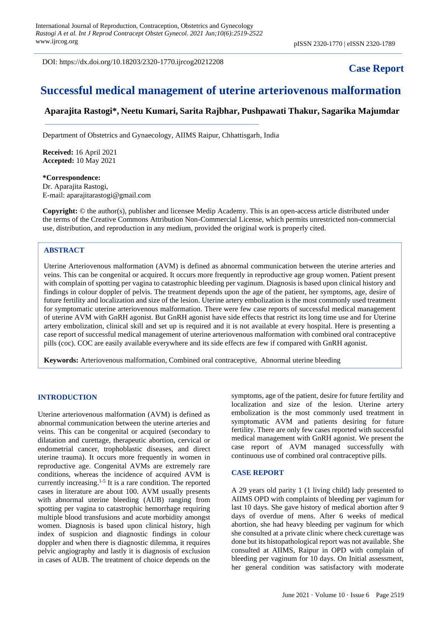DOI: https://dx.doi.org/10.18203/2320-1770.ijrcog20212208

# **Case Report**

# **Successful medical management of uterine arteriovenous malformation**

# **Aparajita Rastogi\*, Neetu Kumari, Sarita Rajbhar, Pushpawati Thakur, Sagarika Majumdar**

Department of Obstetrics and Gynaecology, AIIMS Raipur, Chhattisgarh, India

**Received:** 16 April 2021 **Accepted:** 10 May 2021

**\*Correspondence:** Dr. Aparajita Rastogi, E-mail: aparajitarastogi@gmail.com

**Copyright:** © the author(s), publisher and licensee Medip Academy. This is an open-access article distributed under the terms of the Creative Commons Attribution Non-Commercial License, which permits unrestricted non-commercial use, distribution, and reproduction in any medium, provided the original work is properly cited.

# **ABSTRACT**

Uterine Arteriovenous malformation (AVM) is defined as abnormal communication between the uterine arteries and veins. This can be congenital or acquired. It occurs more frequently in reproductive age group women. Patient present with complain of spotting per vagina to catastrophic bleeding per vaginum. Diagnosis is based upon clinical history and findings in colour doppler of pelvis. The treatment depends upon the age of the patient, her symptoms, age, desire of future fertility and localization and size of the lesion. Uterine artery embolization is the most commonly used treatment for symptomatic uterine arteriovenous malformation. There were few case reports of successful medical management of uterine AVM with GnRH agonist. But GnRH agonist have side effects that restrict its long time use and for Uterine artery embolization, clinical skill and set up is required and it is not available at every hospital. Here is presenting a case report of successful medical management of uterine arteriovenous malformation with combined oral contraceptive pills (coc). COC are easily available everywhere and its side effects are few if compared with GnRH agonist.

**Keywords:** Arteriovenous malformation, Combined oral contraceptive, Abnormal uterine bleeding

## **INTRODUCTION**

Uterine arteriovenous malformation (AVM) is defined as abnormal communication between the uterine arteries and veins. This can be congenital or acquired (secondary to dilatation and curettage, therapeutic abortion, cervical or endometrial cancer, trophoblastic diseases, and direct uterine trauma). It occurs more frequently in women in reproductive age. Congenital AVMs are extremely rare conditions, whereas the incidence of acquired AVM is currently increasing. 1-5 It is a rare condition. The reported cases in literature are about 100. AVM usually presents with abnormal uterine bleeding (AUB) ranging from spotting per vagina to catastrophic hemorrhage requiring multiple blood transfusions and acute morbidity amongst women. Diagnosis is based upon clinical history, high index of suspicion and diagnostic findings in colour doppler and when there is diagnostic dilemma, it requires pelvic angiography and lastly it is diagnosis of exclusion in cases of AUB. The treatment of choice depends on the symptoms, age of the patient, desire for future fertility and localization and size of the lesion. Uterine artery embolization is the most commonly used treatment in symptomatic AVM and patients desiring for future fertility. There are only few cases reported with successful medical management with GnRH agonist. We present the case report of AVM managed successfully with continuous use of combined oral contraceptive pills.

#### **CASE REPORT**

A 29 years old parity 1 (1 living child) lady presented to AIIMS OPD with complaints of bleeding per vaginum for last 10 days. She gave history of medical abortion after 9 days of overdue of mens. After 6 weeks of medical abortion, she had heavy bleeding per vaginum for which she consulted at a private clinic where check curettage was done but its histopathological report was not available. She consulted at AIIMS, Raipur in OPD with complain of bleeding per vaginum for 10 days. On Initial assessment, her general condition was satisfactory with moderate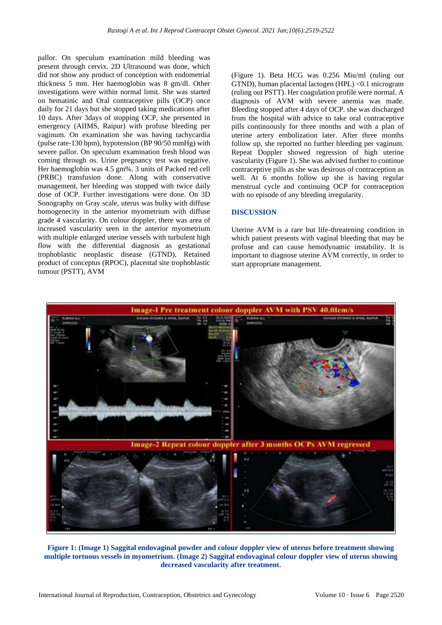pallor. On speculum examination mild bleeding was present through cervix. 2D Ultrasound was done, which did not show any product of conception with endometrial thickness 5 mm. Her haemoglobin was 8 gm/dl. Other investigations were within normal limit. She was started on hematinic and Oral contraceptive pills (OCP) once daily for 21 days but she stopped taking medications after 10 days. After 3days of stopping OCP, she presented in emergency (AIIMS, Raipur) with profuse bleeding per vaginum. On examination she was having tachycardia (pulse rate-130 bpm), hypotension (BP 90/50 mmHg) with severe pallor. On speculum examination fresh blood was coming through os. Urine pregnancy test was negative. Her haemoglobin was 4.5 gm%. 3 units of Packed red cell (PRBC) transfusion done. Along with conservative management, her bleeding was stopped with twice daily dose of OCP. Further investigations were done. On 3D Sonography on Gray scale, uterus was bulky with diffuse homogenecity in the anterior myometrium with diffuse grade 4 vascularity. On colour doppler, there was area of increased vascularity seen in the anterior myometrium with multiple enlarged uterine vessels with turbulent high flow with the differential diagnosis as gestational trophoblastic neoplastic disease (GTND), Retained product of conceptus (RPOC), placental site trophoblastic tumour (PSTT), AVM

(Figure 1). Beta HCG was 0.256 Miu/ml (ruling out GTND), human placental lactogen (HPL) <0.1 microgram (ruling out PSTT). Her coagulation profile were normal. A diagnosis of AVM with severe anemia was made. Bleeding stopped after 4 days of OCP. she was discharged from the hospital with advice to take oral contraceptive pills continuously for three months and with a plan of uterine artery embolization later. After three months follow up, she reported no further bleeding per vaginum. Repeat Doppler showed regression of high uterine vascularity (Figure 1). She was advised further to continue contraceptive pills as she was desirous of contraception as well. At 6 months follow up she is having regular menstrual cycle and continuing OCP for contraception with no episode of any bleeding irregularity.

#### **DISCUSSION**

Uterine AVM is a rare but life-threatening condition in which patient presents with vaginal bleeding that may be profuse and can cause hemodynamic instability. It is important to diagnose uterine AVM correctly, in order to start appropriate management.



**Figure 1: (Image 1) Saggital endovaginal powder and colour doppler view of uterus before treatment showing multiple tortuous vessels in myometrium. (Image 2) Saggital endovaginal colour doppler view of uterus showing decreased vascularity after treatment.**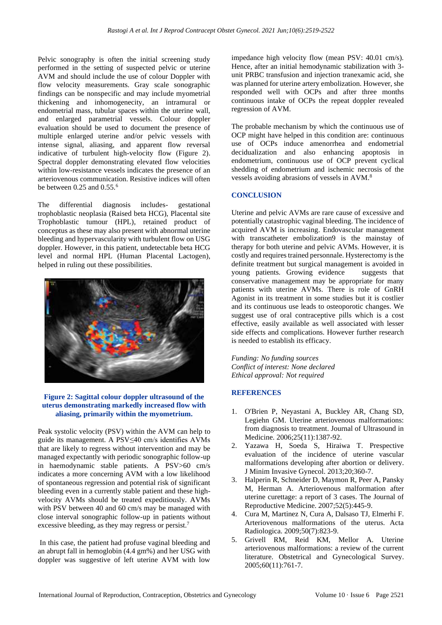Pelvic sonography is often the initial screening study performed in the setting of suspected pelvic or uterine AVM and should include the use of colour Doppler with flow velocity measurements. Gray scale sonographic findings can be nonspecific and may include myometrial thickening and inhomogenecity, an intramural or endometrial mass, tubular spaces within the uterine wall, and enlarged parametrial vessels. Colour doppler evaluation should be used to document the presence of multiple enlarged uterine and/or pelvic vessels with intense signal, aliasing, and apparent flow reversal indicative of turbulent high-velocity flow (Figure 2). Spectral doppler demonstrating elevated flow velocities within low-resistance vessels indicates the presence of an arteriovenous communication. Resistive indices will often be between  $0.25$  and  $0.55<sup>6</sup>$ 

The differential diagnosis includes- gestational trophoblastic neoplasia (Raised beta HCG), Placental site Trophoblastic tumour (HPL), retained product of conceptus as these may also present with abnormal uterine bleeding and hypervascularity with turbulent flow on USG doppler. However, in this patient, undetectable beta HCG level and normal HPL (Human Placental Lactogen), helped in ruling out these possibilities.



## **Figure 2: Sagittal colour doppler ultrasound of the uterus demonstrating markedly increased flow with aliasing, primarily within the myometrium.**

Peak systolic velocity (PSV) within the AVM can help to guide its management. A PSV≤40 cm/s identifies AVMs that are likely to regress without intervention and may be managed expectantly with periodic sonographic follow-up in haemodynamic stable patients. A PSV>60 cm/s indicates a more concerning AVM with a low likelihood of spontaneous regression and potential risk of significant bleeding even in a currently stable patient and these highvelocity AVMs should be treated expeditiously. AVMs with PSV between 40 and 60 cm/s may be managed with close interval sonographic follow-up in patients without excessive bleeding, as they may regress or persist.<sup>7</sup>

In this case, the patient had profuse vaginal bleeding and an abrupt fall in hemoglobin (4.4 gm%) and her USG with doppler was suggestive of left uterine AVM with low impedance high velocity flow (mean PSV: 40.01 cm/s). Hence, after an initial hemodynamic stabilization with 3 unit PRBC transfusion and injection tranexamic acid, she was planned for uterine artery embolization. However, she responded well with OCPs and after three months continuous intake of OCPs the repeat doppler revealed regression of AVM.

The probable mechanism by which the continuous use of OCP might have helped in this condition are: continuous use of OCPs induce amenorrhea and endometrial decidualization and also enhancing apoptosis in endometrium, continuous use of OCP prevent cyclical shedding of endometrium and ischemic necrosis of the vessels avoiding abrasions of vessels in AVM.<sup>8</sup>

# **CONCLUSION**

Uterine and pelvic AVMs are rare cause of excessive and potentially catastrophic vaginal bleeding. The incidence of acquired AVM is increasing. Endovascular management with transcatheter embolization9 is the mainstay of therapy for both uterine and pelvic AVMs. However, it is costly and requires trained personnale. Hysterectomy is the definite treatment but surgical management is avoided in young patients. Growing evidence suggests that conservative management may be appropriate for many patients with uterine AVMs. There is role of GnRH Agonist in its treatment in some studies but it is costlier and its continuous use leads to osteoporotic changes. We suggest use of oral contraceptive pills which is a cost effective, easily available as well associated with lesser side effects and complications. However further research is needed to establish its efficacy.

*Funding: No funding sources Conflict of interest: None declared Ethical approval: Not required*

# **REFERENCES**

- 1. O'Brien P, Neyastani A, Buckley AR, Chang SD, Legiehn GM. Uterine arteriovenous malformations: from diagnosis to treatment. Journal of Ultrasound in Medicine. 2006;25(11):1387-92.
- 2. Yazawa H, Soeda S, Hiraiwa T. Prespective evaluation of the incidence of uterine vascular malformations developing after abortion or delivery. J Minim Invasive Gynecol. 2013;20;360-7.
- 3. Halperin R, Schneider D, Maymon R, Peer A, Pansky M, Herman A. Arteriovenous malformation after uterine curettage: a report of 3 cases. The Journal of Reproductive Medicine. 2007;52(5):445-9.
- 4. Cura M, Martinez N, Cura A, Dalsaso TJ, Elmerhi F. Arteriovenous malformations of the uterus. Acta Radiologica. 2009;50(7):823-9.
- 5. Grivell RM, Reid KM, Mellor A. Uterine arteriovenous malformations: a review of the current literature. Obstetrical and Gynecological Survey. 2005;60(11):761-7.